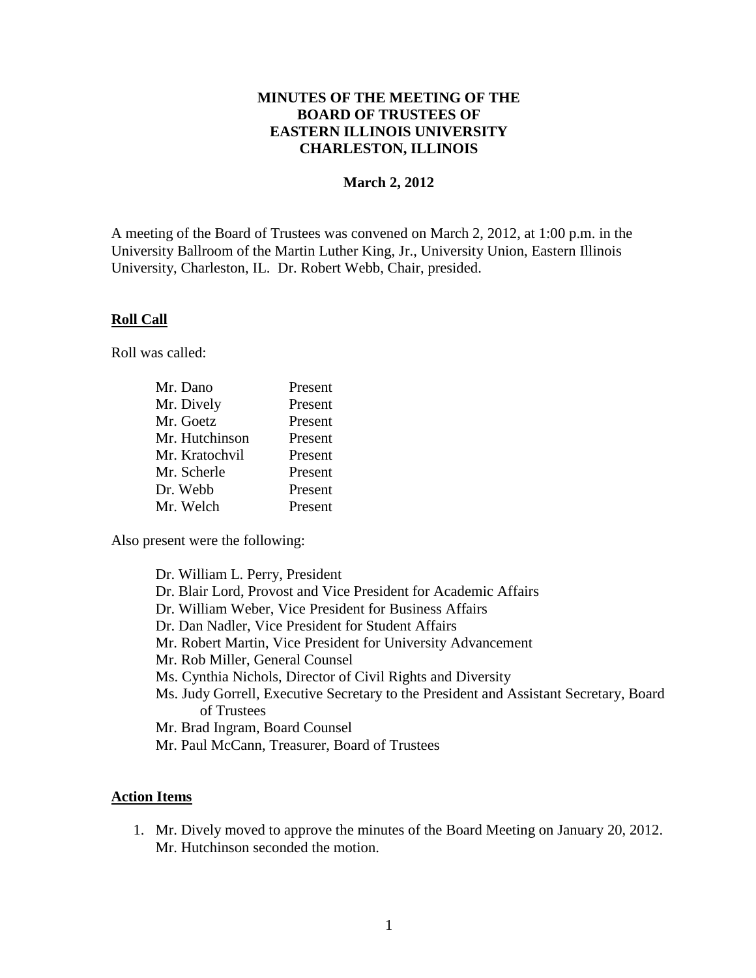## **MINUTES OF THE MEETING OF THE BOARD OF TRUSTEES OF EASTERN ILLINOIS UNIVERSITY CHARLESTON, ILLINOIS**

### **March 2, 2012**

A meeting of the Board of Trustees was convened on March 2, 2012, at 1:00 p.m. in the University Ballroom of the Martin Luther King, Jr., University Union, Eastern Illinois University, Charleston, IL. Dr. Robert Webb, Chair, presided.

#### **Roll Call**

Roll was called:

| Mr. Dano       | Present |
|----------------|---------|
| Mr. Dively     | Present |
| Mr. Goetz      | Present |
| Mr. Hutchinson | Present |
| Mr. Kratochvil | Present |
| Mr. Scherle    | Present |
| Dr. Webb       | Present |
| Mr. Welch      | Present |

Also present were the following:

Dr. William L. Perry, President Dr. Blair Lord, Provost and Vice President for Academic Affairs Dr. William Weber, Vice President for Business Affairs Dr. Dan Nadler, Vice President for Student Affairs Mr. Robert Martin, Vice President for University Advancement Mr. Rob Miller, General Counsel Ms. Cynthia Nichols, Director of Civil Rights and Diversity Ms. Judy Gorrell, Executive Secretary to the President and Assistant Secretary, Board of Trustees Mr. Brad Ingram, Board Counsel Mr. Paul McCann, Treasurer, Board of Trustees

#### **Action Items**

1. Mr. Dively moved to approve the minutes of the Board Meeting on January 20, 2012. Mr. Hutchinson seconded the motion.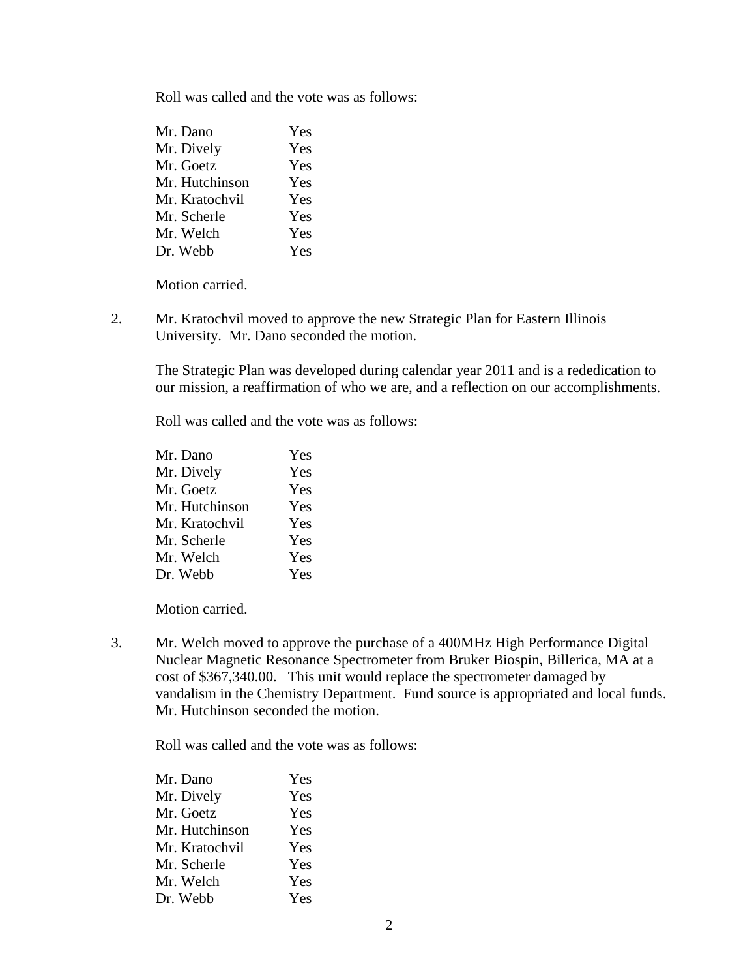Roll was called and the vote was as follows:

| Mr. Dano       | Yes |
|----------------|-----|
| Mr. Dively     | Yes |
| Mr. Goetz      | Yes |
| Mr. Hutchinson | Yes |
| Mr. Kratochvil | Yes |
| Mr. Scherle    | Yes |
| Mr. Welch      | Yes |
| Dr. Webb       | Yes |

Motion carried.

2. Mr. Kratochvil moved to approve the new Strategic Plan for Eastern Illinois University. Mr. Dano seconded the motion.

The Strategic Plan was developed during calendar year 2011 and is a rededication to our mission, a reaffirmation of who we are, and a reflection on our accomplishments.

Roll was called and the vote was as follows:

| Yes |
|-----|
| Yes |
| Yes |
| Yes |
| Yes |
| Yes |
| Yes |
| Yes |
|     |

Motion carried.

3. Mr. Welch moved to approve the purchase of a 400MHz High Performance Digital Nuclear Magnetic Resonance Spectrometer from Bruker Biospin, Billerica, MA at a cost of \$367,340.00. This unit would replace the spectrometer damaged by vandalism in the Chemistry Department. Fund source is appropriated and local funds. Mr. Hutchinson seconded the motion.

| Mr. Dano       | Yes |
|----------------|-----|
| Mr. Dively     | Yes |
| Mr. Goetz      | Yes |
| Mr. Hutchinson | Yes |
| Mr. Kratochvil | Yes |
| Mr. Scherle    | Yes |
| Mr. Welch      | Yes |
| Dr. Webb       | Yes |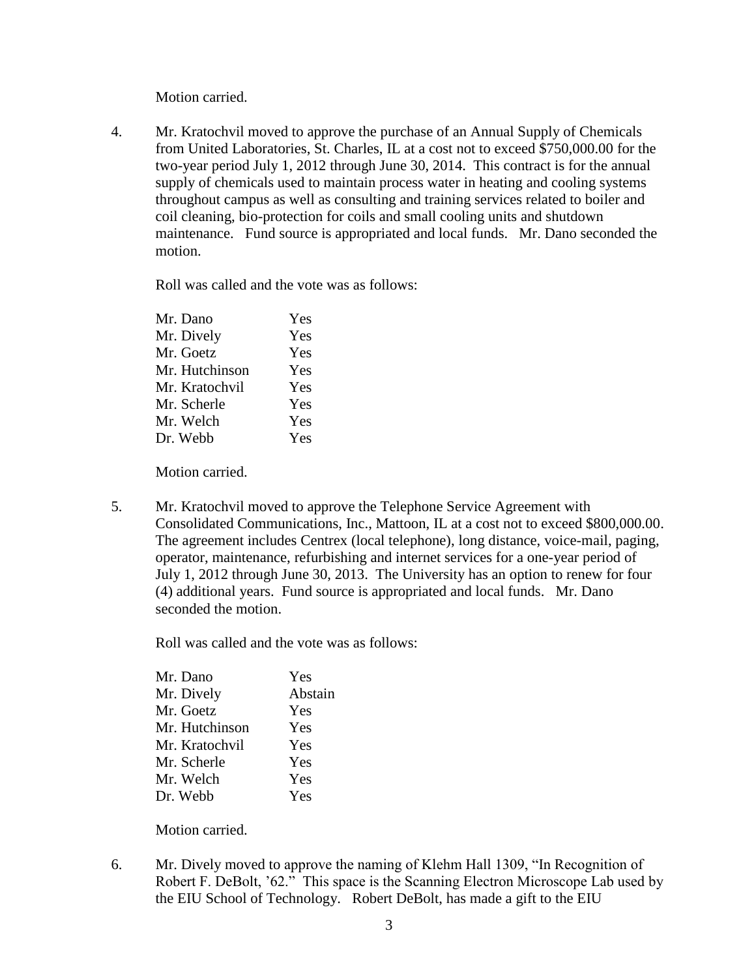Motion carried.

4. Mr. Kratochvil moved to approve the purchase of an Annual Supply of Chemicals from United Laboratories, St. Charles, IL at a cost not to exceed \$750,000.00 for the two-year period July 1, 2012 through June 30, 2014. This contract is for the annual supply of chemicals used to maintain process water in heating and cooling systems throughout campus as well as consulting and training services related to boiler and coil cleaning, bio-protection for coils and small cooling units and shutdown maintenance. Fund source is appropriated and local funds. Mr. Dano seconded the motion.

Roll was called and the vote was as follows:

| Mr. Dano       | Yes |
|----------------|-----|
| Mr. Dively     | Yes |
| Mr. Goetz      | Yes |
| Mr. Hutchinson | Yes |
| Mr. Kratochvil | Yes |
| Mr. Scherle    | Yes |
| Mr. Welch      | Yes |
| Dr. Webb       | Yes |
|                |     |

Motion carried.

5. Mr. Kratochvil moved to approve the Telephone Service Agreement with Consolidated Communications, Inc., Mattoon, IL at a cost not to exceed \$800,000.00. The agreement includes Centrex (local telephone), long distance, voice-mail, paging, operator, maintenance, refurbishing and internet services for a one-year period of July 1, 2012 through June 30, 2013. The University has an option to renew for four (4) additional years. Fund source is appropriated and local funds. Mr. Dano seconded the motion.

Roll was called and the vote was as follows:

| Yes     |
|---------|
| Abstain |
| Yes     |
| Yes     |
| Yes     |
| Yes     |
| Yes     |
| Yes     |
|         |

Motion carried.

6. Mr. Dively moved to approve the naming of Klehm Hall 1309, "In Recognition of Robert F. DeBolt, "62." This space is the Scanning Electron Microscope Lab used by the EIU School of Technology. Robert DeBolt, has made a gift to the EIU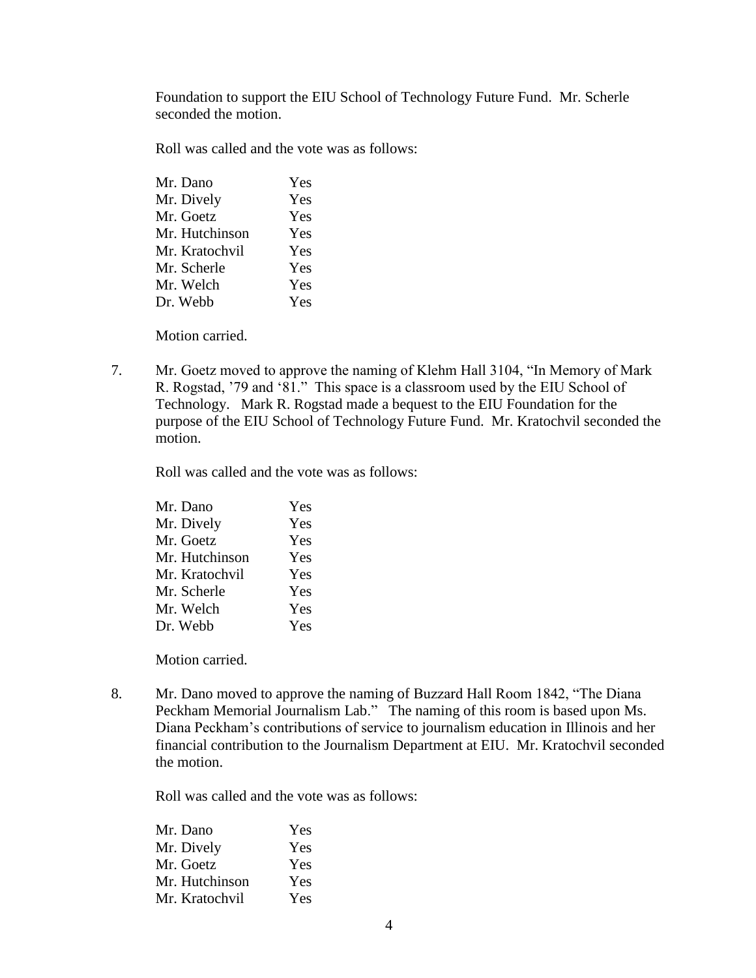Foundation to support the EIU School of Technology Future Fund. Mr. Scherle seconded the motion.

Roll was called and the vote was as follows:

| Mr. Dano       | Yes |
|----------------|-----|
| Mr. Dively     | Yes |
| Mr. Goetz      | Yes |
| Mr. Hutchinson | Yes |
| Mr. Kratochvil | Yes |
| Mr. Scherle    | Yes |
| Mr. Welch      | Yes |
| Dr. Webb       | Yes |
|                |     |

Motion carried.

7. Mr. Goetz moved to approve the naming of Klehm Hall 3104, "In Memory of Mark R. Rogstad, "79 and "81." This space is a classroom used by the EIU School of Technology. Mark R. Rogstad made a bequest to the EIU Foundation for the purpose of the EIU School of Technology Future Fund. Mr. Kratochvil seconded the motion.

Roll was called and the vote was as follows:

Motion carried.

8. Mr. Dano moved to approve the naming of Buzzard Hall Room 1842, "The Diana Peckham Memorial Journalism Lab." The naming of this room is based upon Ms. Diana Peckham"s contributions of service to journalism education in Illinois and her financial contribution to the Journalism Department at EIU. Mr. Kratochvil seconded the motion.

| Mr. Dano       | Yes |
|----------------|-----|
| Mr. Dively     | Yes |
| Mr. Goetz      | Yes |
| Mr. Hutchinson | Yes |
| Mr. Kratochvil | Yes |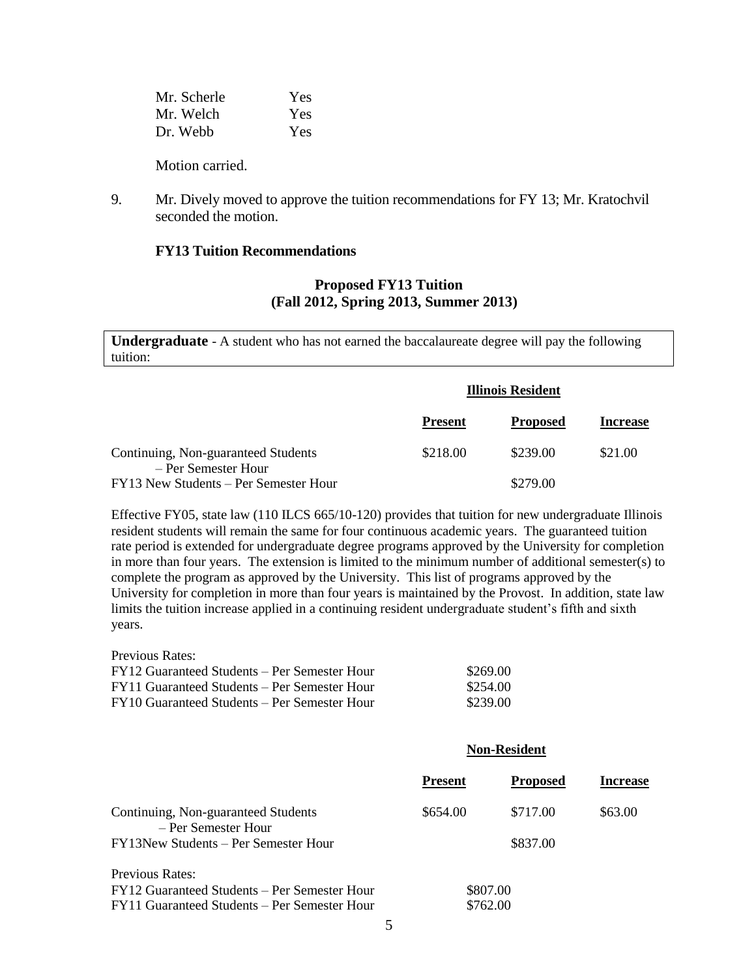Mr. Scherle Yes Mr. Welch Yes Dr. Webb Yes

Motion carried.

9. Mr. Dively moved to approve the tuition recommendations for FY 13; Mr. Kratochvil seconded the motion.

### **FY13 Tuition Recommendations**

## **Proposed FY13 Tuition (Fall 2012, Spring 2013, Summer 2013)**

**Undergraduate** - A student who has not earned the baccalaureate degree will pay the following tuition:

|                                                            | <b>Illinois Resident</b> |                 |                 |
|------------------------------------------------------------|--------------------------|-----------------|-----------------|
|                                                            | <b>Present</b>           | <b>Proposed</b> | <b>Increase</b> |
| Continuing, Non-guaranteed Students<br>- Per Semester Hour | \$218.00                 | \$239.00        | \$21.00         |
| FY13 New Students – Per Semester Hour                      |                          | \$279.00        |                 |

Effective FY05, state law (110 ILCS 665/10-120) provides that tuition for new undergraduate Illinois resident students will remain the same for four continuous academic years. The guaranteed tuition rate period is extended for undergraduate degree programs approved by the University for completion in more than four years. The extension is limited to the minimum number of additional semester(s) to complete the program as approved by the University. This list of programs approved by the University for completion in more than four years is maintained by the Provost. In addition, state law limits the tuition increase applied in a continuing resident undergraduate student's fifth and sixth years.

| Previous Rates: |  |
|-----------------|--|
|-----------------|--|

| FY12 Guaranteed Students – Per Semester Hour | \$269.00 |
|----------------------------------------------|----------|
| FY11 Guaranteed Students – Per Semester Hour | \$254.00 |
| FY10 Guaranteed Students – Per Semester Hour | \$239.00 |

|                                                            | <b>Non-Resident</b> |                 |                 |
|------------------------------------------------------------|---------------------|-----------------|-----------------|
|                                                            | <b>Present</b>      | <b>Proposed</b> | <b>Increase</b> |
| Continuing, Non-guaranteed Students<br>- Per Semester Hour | \$654.00            | \$717.00        | \$63.00         |
| FY13New Students – Per Semester Hour                       |                     | \$837.00        |                 |
| Previous Rates:                                            |                     |                 |                 |
| FY12 Guaranteed Students – Per Semester Hour               |                     | \$807.00        |                 |
| FY11 Guaranteed Students – Per Semester Hour               |                     | \$762.00        |                 |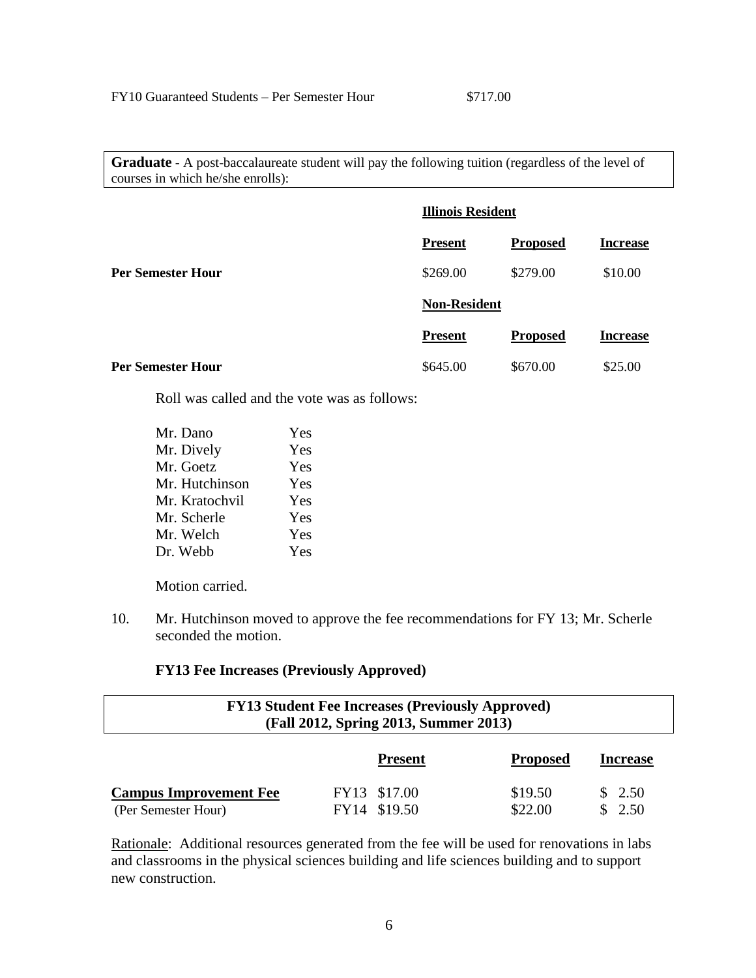**Graduate -** A post-baccalaureate student will pay the following tuition (regardless of the level of courses in which he/she enrolls):

|                          | <b>Illinois Resident</b> |                 |                 |
|--------------------------|--------------------------|-----------------|-----------------|
|                          | <b>Present</b>           | <b>Proposed</b> | <b>Increase</b> |
| <b>Per Semester Hour</b> | \$269.00                 | \$279.00        | \$10.00         |
|                          | <b>Non-Resident</b>      |                 |                 |
|                          | <b>Present</b>           | <b>Proposed</b> | <b>Increase</b> |
| <b>Per Semester Hour</b> | \$645.00                 | \$670.00        | \$25.00         |

Roll was called and the vote was as follows:

| Mr. Dano       | Yes |
|----------------|-----|
| Mr. Dively     | Yes |
| Mr. Goetz      | Yes |
| Mr. Hutchinson | Yes |
| Mr. Kratochvil | Yes |
| Mr. Scherle    | Yes |
| Mr. Welch      | Yes |
| Dr. Webb       | Yes |
|                |     |

Motion carried.

10. Mr. Hutchinson moved to approve the fee recommendations for FY 13; Mr. Scherle seconded the motion.

#### **FY13 Fee Increases (Previously Approved)**

| <b>FY13 Student Fee Increases (Previously Approved)</b><br>(Fall 2012, Spring 2013, Summer 2013) |  |                              |                    |                  |
|--------------------------------------------------------------------------------------------------|--|------------------------------|--------------------|------------------|
|                                                                                                  |  | <b>Present</b>               | <b>Proposed</b>    | <b>Increase</b>  |
| <b>Campus Improvement Fee</b><br>(Per Semester Hour)                                             |  | FY13 \$17.00<br>FY14 \$19.50 | \$19.50<br>\$22.00 | \$2.50<br>\$2.50 |

Rationale: Additional resources generated from the fee will be used for renovations in labs and classrooms in the physical sciences building and life sciences building and to support new construction.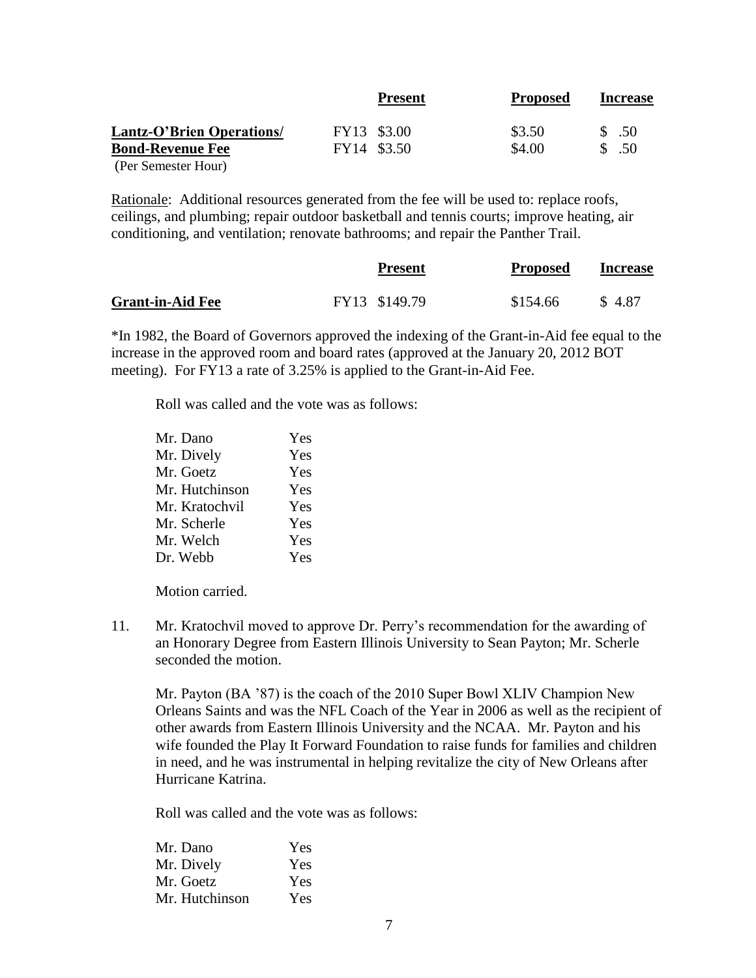|                           | <b>Present</b> | <b>Proposed</b> | <b>Increase</b> |
|---------------------------|----------------|-----------------|-----------------|
| Lantz-O'Brien Operations/ | FY13 \$3.00    | \$3.50          | $\text{\$}$ .50 |
| <b>Bond-Revenue Fee</b>   | FY14 \$3.50    | \$4.00          | \$ .50          |
| (Per Semester Hour)       |                |                 |                 |

Rationale: Additional resources generated from the fee will be used to: replace roofs, ceilings, and plumbing; repair outdoor basketball and tennis courts; improve heating, air conditioning, and ventilation; renovate bathrooms; and repair the Panther Trail.

|                         | <b>Present</b> | <b>Proposed</b> | <b>Increase</b> |
|-------------------------|----------------|-----------------|-----------------|
| <b>Grant-in-Aid Fee</b> | FY13 \$149.79  | \$154.66        | \$4.87          |

\*In 1982, the Board of Governors approved the indexing of the Grant-in-Aid fee equal to the increase in the approved room and board rates (approved at the January 20, 2012 BOT meeting). For FY13 a rate of 3.25% is applied to the Grant-in-Aid Fee.

Roll was called and the vote was as follows:

| Mr. Dano       | Yes |
|----------------|-----|
| Mr. Dively     | Yes |
| Mr. Goetz      | Yes |
| Mr. Hutchinson | Yes |
| Mr. Kratochvil | Yes |
| Mr. Scherle    | Yes |
| Mr. Welch      | Yes |
| Dr. Webb       | Yes |

Motion carried.

11. Mr. Kratochvil moved to approve Dr. Perry"s recommendation for the awarding of an Honorary Degree from Eastern Illinois University to Sean Payton; Mr. Scherle seconded the motion.

Mr. Payton (BA "87) is the coach of the 2010 Super Bowl XLIV Champion New Orleans Saints and was the NFL Coach of the Year in 2006 as well as the recipient of other awards from Eastern Illinois University and the NCAA. Mr. Payton and his wife founded the Play It Forward Foundation to raise funds for families and children in need, and he was instrumental in helping revitalize the city of New Orleans after Hurricane Katrina.

| Mr. Dano       | Yes |
|----------------|-----|
| Mr. Dively     | Yes |
| Mr. Goetz      | Yes |
| Mr. Hutchinson | Yes |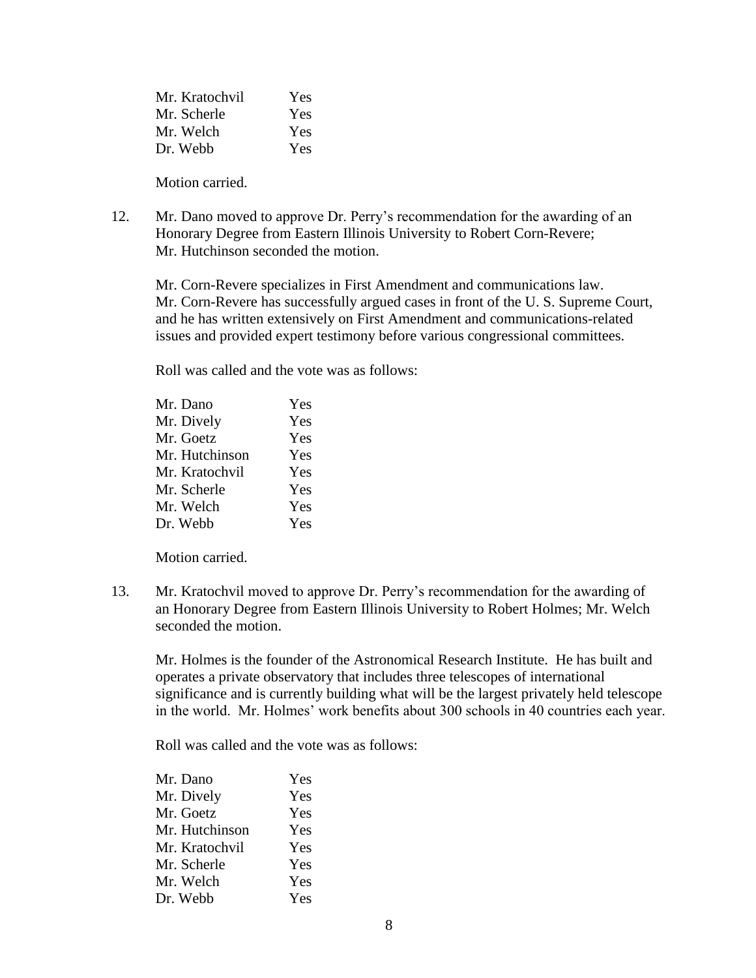| Mr. Kratochvil | <b>Yes</b> |
|----------------|------------|
| Mr. Scherle    | <b>Yes</b> |
| Mr. Welch      | <b>Yes</b> |
| Dr. Webb       | <b>Yes</b> |

Motion carried.

12. Mr. Dano moved to approve Dr. Perry"s recommendation for the awarding of an Honorary Degree from Eastern Illinois University to Robert Corn-Revere; Mr. Hutchinson seconded the motion.

Mr. Corn-Revere specializes in First Amendment and communications law. Mr. Corn-Revere has successfully argued cases in front of the U. S. Supreme Court, and he has written extensively on First Amendment and communications-related issues and provided expert testimony before various congressional committees.

Roll was called and the vote was as follows:

| Mr. Dano       | Yes |
|----------------|-----|
| Mr. Dively     | Yes |
| Mr. Goetz      | Yes |
| Mr. Hutchinson | Yes |
| Mr. Kratochvil | Yes |
| Mr. Scherle    | Yes |
| Mr. Welch      | Yes |
| Dr. Webb       | Yes |
|                |     |

Motion carried.

13. Mr. Kratochvil moved to approve Dr. Perry"s recommendation for the awarding of an Honorary Degree from Eastern Illinois University to Robert Holmes; Mr. Welch seconded the motion.

Mr. Holmes is the founder of the Astronomical Research Institute. He has built and operates a private observatory that includes three telescopes of international significance and is currently building what will be the largest privately held telescope in the world. Mr. Holmes' work benefits about 300 schools in 40 countries each year.

| Yes |
|-----|
| Yes |
| Yes |
| Yes |
| Yes |
| Yes |
| Yes |
| Yes |
|     |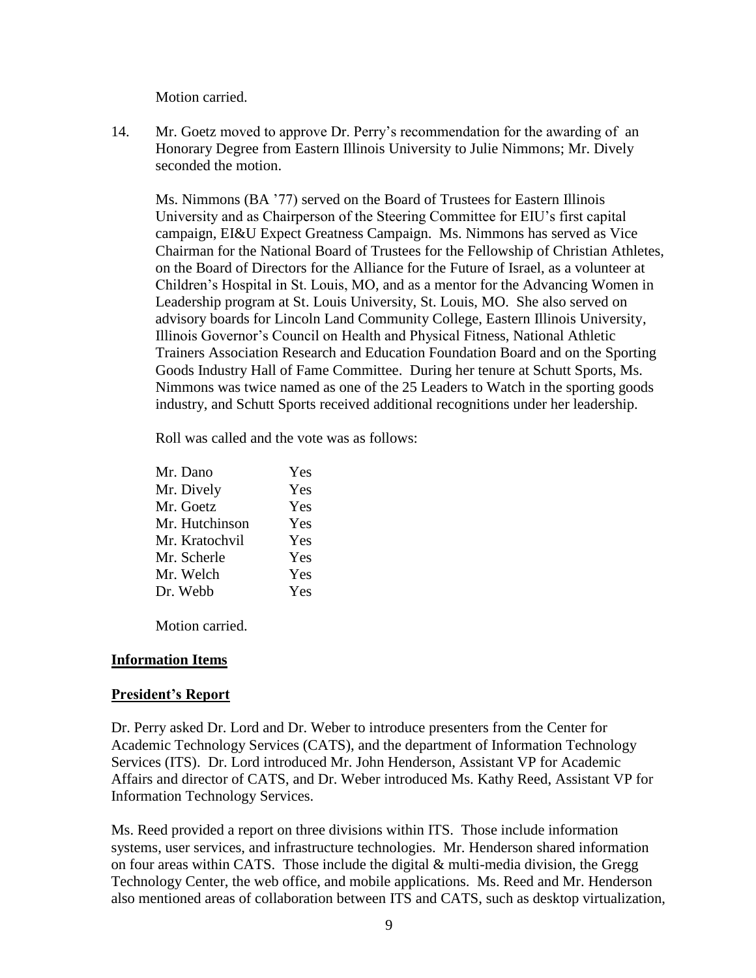Motion carried.

14. Mr. Goetz moved to approve Dr. Perry"s recommendation for the awarding of an Honorary Degree from Eastern Illinois University to Julie Nimmons; Mr. Dively seconded the motion.

Ms. Nimmons (BA "77) served on the Board of Trustees for Eastern Illinois University and as Chairperson of the Steering Committee for EIU"s first capital campaign, EI&U Expect Greatness Campaign. Ms. Nimmons has served as Vice Chairman for the National Board of Trustees for the Fellowship of Christian Athletes, on the Board of Directors for the Alliance for the Future of Israel, as a volunteer at Children"s Hospital in St. Louis, MO, and as a mentor for the Advancing Women in Leadership program at St. Louis University, St. Louis, MO. She also served on advisory boards for Lincoln Land Community College, Eastern Illinois University, Illinois Governor"s Council on Health and Physical Fitness, National Athletic Trainers Association Research and Education Foundation Board and on the Sporting Goods Industry Hall of Fame Committee. During her tenure at Schutt Sports, Ms. Nimmons was twice named as one of the 25 Leaders to Watch in the sporting goods industry, and Schutt Sports received additional recognitions under her leadership.

Roll was called and the vote was as follows:

| Mr. Dano       | Yes |
|----------------|-----|
| Mr. Dively     | Yes |
| Mr. Goetz      | Yes |
| Mr. Hutchinson | Yes |
| Mr. Kratochvil | Yes |
| Mr. Scherle    | Yes |
| Mr. Welch      | Yes |
| Dr. Webb       | Yes |

Motion carried.

## **Information Items**

### **President's Report**

Dr. Perry asked Dr. Lord and Dr. Weber to introduce presenters from the Center for Academic Technology Services (CATS), and the department of Information Technology Services (ITS). Dr. Lord introduced Mr. John Henderson, Assistant VP for Academic Affairs and director of CATS, and Dr. Weber introduced Ms. Kathy Reed, Assistant VP for Information Technology Services.

Ms. Reed provided a report on three divisions within ITS. Those include information systems, user services, and infrastructure technologies. Mr. Henderson shared information on four areas within CATS. Those include the digital & multi-media division, the Gregg Technology Center, the web office, and mobile applications. Ms. Reed and Mr. Henderson also mentioned areas of collaboration between ITS and CATS, such as desktop virtualization,